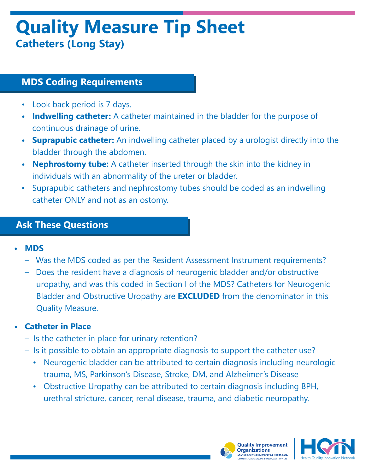# **Quality Measure Tip Sheet Catheters (Long Stay)**

### **MDS Coding Requirements**

- Look back period is 7 days.
- **• Indwelling catheter:** A catheter maintained in the bladder for the purpose of continuous drainage of urine.
- **• Suprapubic catheter:** An indwelling catheter placed by a urologist directly into the bladder through the abdomen.
- **• Nephrostomy tube:** A catheter inserted through the skin into the kidney in individuals with an abnormality of the ureter or bladder.
- Suprapubic catheters and nephrostomy tubes should be coded as an indwelling catheter ONLY and not as an ostomy.

#### **Ask These Questions**

- **• MDS**
	- Was the MDS coded as per the Resident Assessment Instrument requirements?
	- Does the resident have a diagnosis of neurogenic bladder and/or obstructive uropathy, and was this coded in Section I of the MDS? Catheters for Neurogenic Bladder and Obstructive Uropathy are **EXCLUDED** from the denominator in this Quality Measure.

#### **• Catheter in Place**

- Is the catheter in place for urinary retention?
- Is it possible to obtain an appropriate diagnosis to support the catheter use?
	- Neurogenic bladder can be attributed to certain diagnosis including neurologic trauma, MS, Parkinson's Disease, Stroke, DM, and Alzheimer's Disease
	- Obstructive Uropathy can be attributed to certain diagnosis including BPH, urethral stricture, cancer, renal disease, trauma, and diabetic neuropathy.